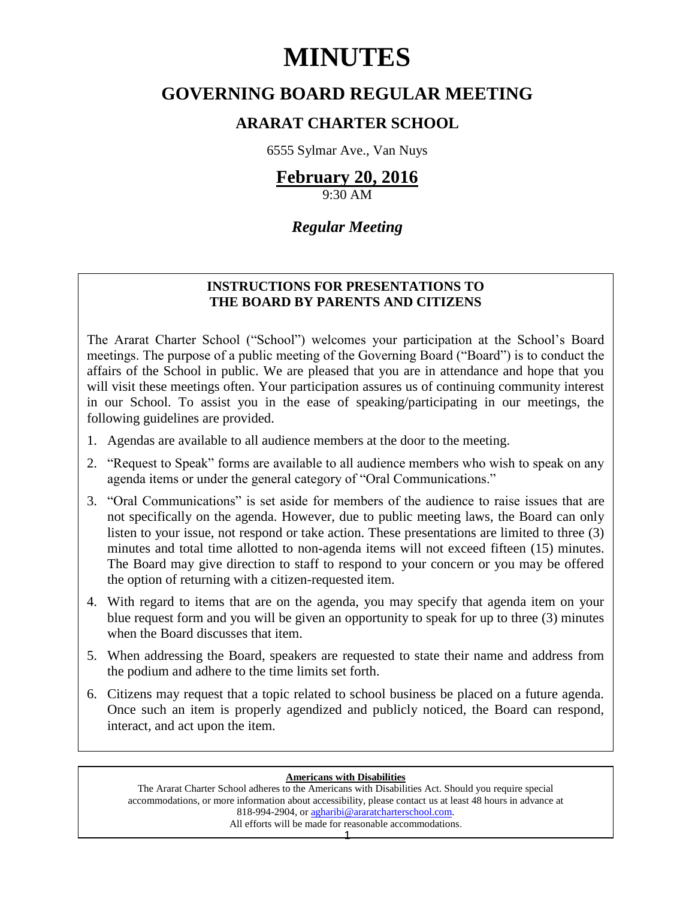# **MINUTES**

# **GOVERNING BOARD REGULAR MEETING**

# **ARARAT CHARTER SCHOOL**

6555 Sylmar Ave., Van Nuys

# **February 20, 2016**

9:30 AM

# *Regular Meeting*

# **INSTRUCTIONS FOR PRESENTATIONS TO THE BOARD BY PARENTS AND CITIZENS**

The Ararat Charter School ("School") welcomes your participation at the School's Board meetings. The purpose of a public meeting of the Governing Board ("Board") is to conduct the affairs of the School in public. We are pleased that you are in attendance and hope that you will visit these meetings often. Your participation assures us of continuing community interest in our School. To assist you in the ease of speaking/participating in our meetings, the following guidelines are provided.

- 1. Agendas are available to all audience members at the door to the meeting.
- 2. "Request to Speak" forms are available to all audience members who wish to speak on any agenda items or under the general category of "Oral Communications."
- 3. "Oral Communications" is set aside for members of the audience to raise issues that are not specifically on the agenda. However, due to public meeting laws, the Board can only listen to your issue, not respond or take action. These presentations are limited to three (3) minutes and total time allotted to non-agenda items will not exceed fifteen (15) minutes. The Board may give direction to staff to respond to your concern or you may be offered the option of returning with a citizen-requested item.
- 4. With regard to items that are on the agenda, you may specify that agenda item on your blue request form and you will be given an opportunity to speak for up to three (3) minutes when the Board discusses that item.
- 5. When addressing the Board, speakers are requested to state their name and address from the podium and adhere to the time limits set forth.
- 6. Citizens may request that a topic related to school business be placed on a future agenda. Once such an item is properly agendized and publicly noticed, the Board can respond, interact, and act upon the item.

### **Americans with Disabilities**

The Ararat Charter School adheres to the Americans with Disabilities Act. Should you require special accommodations, or more information about accessibility, please contact us at least 48 hours in advance at 818-994-2904, or [agharibi@araratcharterschool.com.](mailto:agharibi@araratcharterschool.com)  All efforts will be made for reasonable accommodations.

1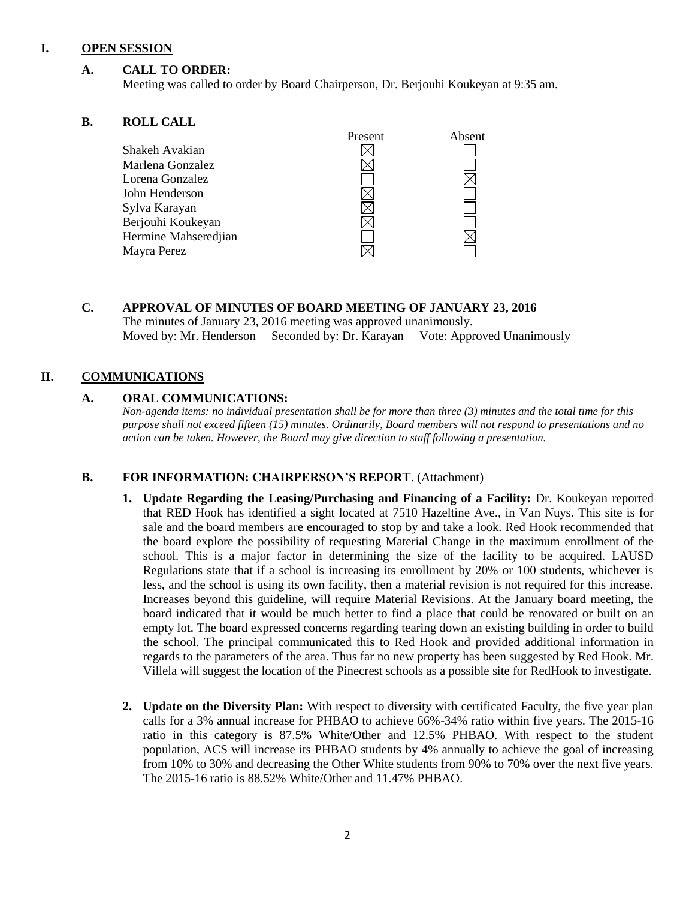### **I. OPEN SESSION**

## **A. CALL TO ORDER:**

Meeting was called to order by Board Chairperson, Dr. Berjouhi Koukeyan at 9:35 am.

#### **B. ROLL CALL**

| Present | Absent |
|---------|--------|
|         |        |
|         |        |
|         |        |
|         |        |
|         |        |
|         |        |
|         |        |
|         |        |
|         |        |

## **C. APPROVAL OF MINUTES OF BOARD MEETING OF JANUARY 23, 2016** The minutes of January 23, 2016 meeting was approved unanimously. Moved by: Mr. Henderson Seconded by: Dr. Karayan Vote: Approved Unanimously

## **II. COMMUNICATIONS**

#### **A. ORAL COMMUNICATIONS:**

*Non-agenda items: no individual presentation shall be for more than three (3) minutes and the total time for this purpose shall not exceed fifteen (15) minutes. Ordinarily, Board members will not respond to presentations and no action can be taken. However, the Board may give direction to staff following a presentation.*

## **B. FOR INFORMATION: CHAIRPERSON'S REPORT**. (Attachment)

- **1. Update Regarding the Leasing/Purchasing and Financing of a Facility:** Dr. Koukeyan reported that RED Hook has identified a sight located at 7510 Hazeltine Ave., in Van Nuys. This site is for sale and the board members are encouraged to stop by and take a look. Red Hook recommended that the board explore the possibility of requesting Material Change in the maximum enrollment of the school. This is a major factor in determining the size of the facility to be acquired. LAUSD Regulations state that if a school is increasing its enrollment by 20% or 100 students, whichever is less, and the school is using its own facility, then a material revision is not required for this increase. Increases beyond this guideline, will require Material Revisions. At the January board meeting, the board indicated that it would be much better to find a place that could be renovated or built on an empty lot. The board expressed concerns regarding tearing down an existing building in order to build the school. The principal communicated this to Red Hook and provided additional information in regards to the parameters of the area. Thus far no new property has been suggested by Red Hook. Mr. Villela will suggest the location of the Pinecrest schools as a possible site for RedHook to investigate.
- **2. Update on the Diversity Plan:** With respect to diversity with certificated Faculty, the five year plan calls for a 3% annual increase for PHBAO to achieve 66%-34% ratio within five years. The 2015-16 ratio in this category is 87.5% White/Other and 12.5% PHBAO. With respect to the student population, ACS will increase its PHBAO students by 4% annually to achieve the goal of increasing from 10% to 30% and decreasing the Other White students from 90% to 70% over the next five years. The 2015-16 ratio is 88.52% White/Other and 11.47% PHBAO.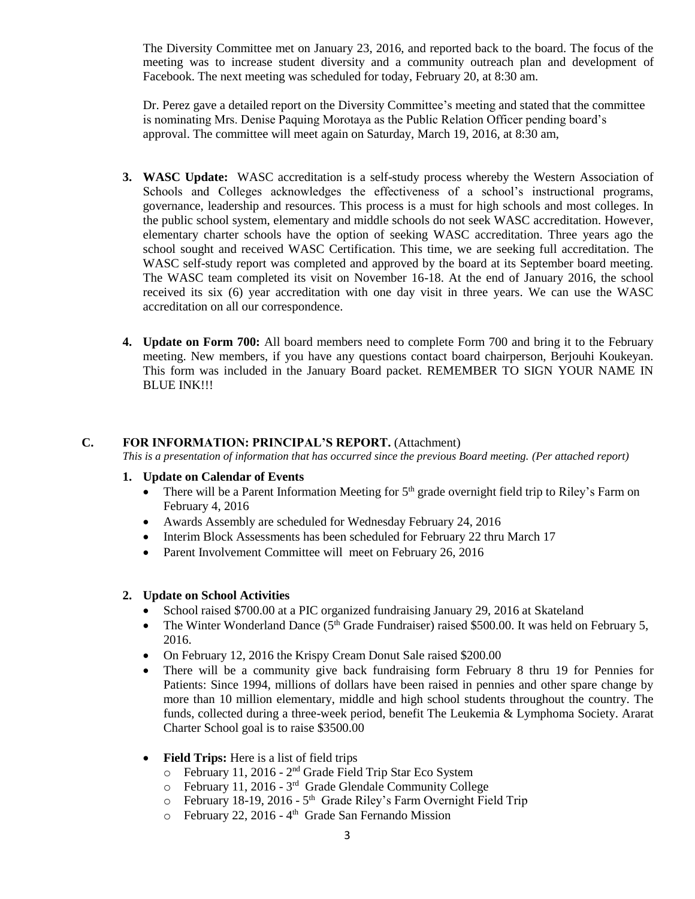The Diversity Committee met on January 23, 2016, and reported back to the board. The focus of the meeting was to increase student diversity and a community outreach plan and development of Facebook. The next meeting was scheduled for today, February 20, at 8:30 am.

Dr. Perez gave a detailed report on the Diversity Committee's meeting and stated that the committee is nominating Mrs. Denise Paquing Morotaya as the Public Relation Officer pending board's approval. The committee will meet again on Saturday, March 19, 2016, at 8:30 am,

- **3. WASC Update:** WASC accreditation is a self-study process whereby the Western Association of Schools and Colleges acknowledges the effectiveness of a school's instructional programs, governance, leadership and resources. This process is a must for high schools and most colleges. In the public school system, elementary and middle schools do not seek WASC accreditation. However, elementary charter schools have the option of seeking WASC accreditation. Three years ago the school sought and received WASC Certification. This time, we are seeking full accreditation. The WASC self-study report was completed and approved by the board at its September board meeting. The WASC team completed its visit on November 16-18. At the end of January 2016, the school received its six (6) year accreditation with one day visit in three years. We can use the WASC accreditation on all our correspondence.
- **4. Update on Form 700:** All board members need to complete Form 700 and bring it to the February meeting. New members, if you have any questions contact board chairperson, Berjouhi Koukeyan. This form was included in the January Board packet. REMEMBER TO SIGN YOUR NAME IN BLUE INK!!!

## **C. FOR INFORMATION: PRINCIPAL'S REPORT.** (Attachment)

*This is a presentation of information that has occurred since the previous Board meeting. (Per attached report)*

#### **1. Update on Calendar of Events**

- There will be a Parent Information Meeting for  $5<sup>th</sup>$  grade overnight field trip to Riley's Farm on February 4, 2016
- Awards Assembly are scheduled for Wednesday February 24, 2016
- Interim Block Assessments has been scheduled for February 22 thru March 17
- Parent Involvement Committee will meet on February 26, 2016

#### **2. Update on School Activities**

- School raised \$700.00 at a PIC organized fundraising January 29, 2016 at Skateland
- The Winter Wonderland Dance ( $5<sup>th</sup>$  Grade Fundraiser) raised \$500.00. It was held on February 5, 2016.
- On February 12, 2016 the Krispy Cream Donut Sale raised \$200.00
- There will be a community give back fundraising form February 8 thru 19 for Pennies for Patients: Since 1994, millions of dollars have been raised in pennies and other spare change by more than 10 million elementary, middle and high school students throughout the country. The funds, collected during a three-week period, benefit The Leukemia & Lymphoma Society. Ararat Charter School goal is to raise \$3500.00
- Field Trips: Here is a list of field trips
	- $\circ$  February 11, 2016 2<sup>nd</sup> Grade Field Trip Star Eco System
	- o February 11, 2016 3<sup>rd</sup> Grade Glendale Community College
	- $\circ$  February 18-19, 2016 5<sup>th</sup> Grade Riley's Farm Overnight Field Trip
	- o February 22, 2016 4<sup>th</sup> Grade San Fernando Mission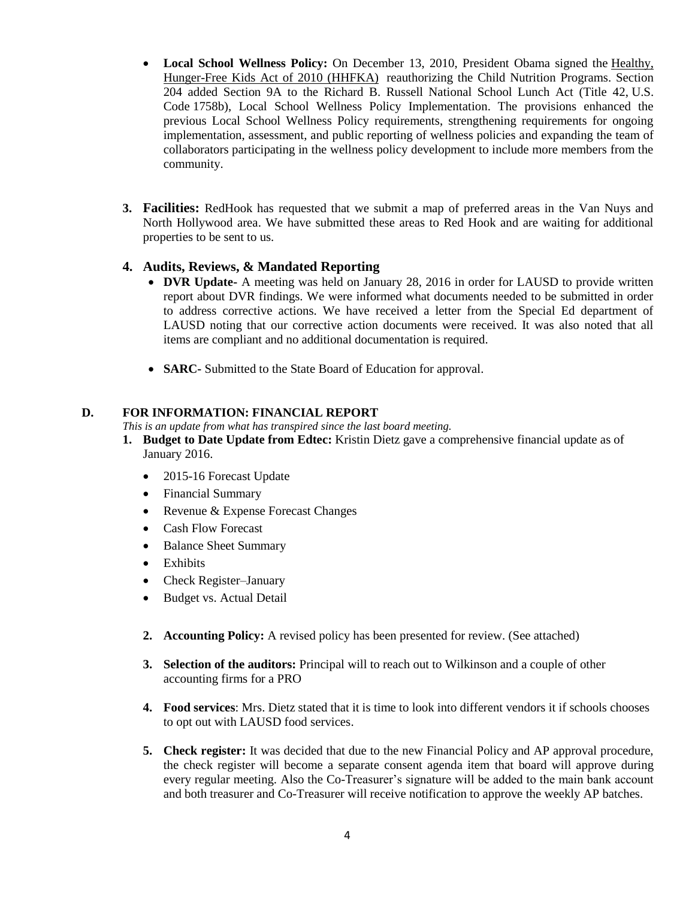- **Local School Wellness Policy:** On December 13, 2010, President Obama signed the [Healthy,](http://www.gpo.gov/fdsys/pkg/PLAW-111publ296/pdf/PLAW-111publ296.pdf)  [Hunger-Free Kids Act of 2010 \(HHFKA\)](http://www.gpo.gov/fdsys/pkg/PLAW-111publ296/pdf/PLAW-111publ296.pdf) reauthorizing the Child Nutrition Programs. Section 204 added Section 9A to the Richard B. Russell National School Lunch Act (Title 42, U.S. Code 1758b), Local School Wellness Policy Implementation. The provisions enhanced the previous Local School Wellness Policy requirements, strengthening requirements for ongoing implementation, assessment, and public reporting of wellness policies and expanding the team of collaborators participating in the wellness policy development to include more members from the community.
- **3. Facilities:** RedHook has requested that we submit a map of preferred areas in the Van Nuys and North Hollywood area. We have submitted these areas to Red Hook and are waiting for additional properties to be sent to us.

# **4. Audits, Reviews, & Mandated Reporting**

- **DVR Update-** A meeting was held on January 28, 2016 in order for LAUSD to provide written report about DVR findings. We were informed what documents needed to be submitted in order to address corrective actions. We have received a letter from the Special Ed department of LAUSD noting that our corrective action documents were received. It was also noted that all items are compliant and no additional documentation is required.
- **SARC-** Submitted to the State Board of Education for approval.

# **D. FOR INFORMATION: FINANCIAL REPORT**

*This is an update from what has transpired since the last board meeting.*

- **1. Budget to Date Update from Edtec:** Kristin Dietz gave a comprehensive financial update as of January 2016.
	- 2015-16 Forecast Update
	- Financial Summary
	- Revenue & Expense Forecast Changes
	- Cash Flow Forecast
	- Balance Sheet Summary
	- Exhibits
	- Check Register–January
	- Budget vs. Actual Detail
	- **2. Accounting Policy:** A revised policy has been presented for review. (See attached)
	- **3. Selection of the auditors:** Principal will to reach out to Wilkinson and a couple of other accounting firms for a PRO
	- **4. Food services**: Mrs. Dietz stated that it is time to look into different vendors it if schools chooses to opt out with LAUSD food services.
	- **5. Check register:** It was decided that due to the new Financial Policy and AP approval procedure, the check register will become a separate consent agenda item that board will approve during every regular meeting. Also the Co-Treasurer's signature will be added to the main bank account and both treasurer and Co-Treasurer will receive notification to approve the weekly AP batches.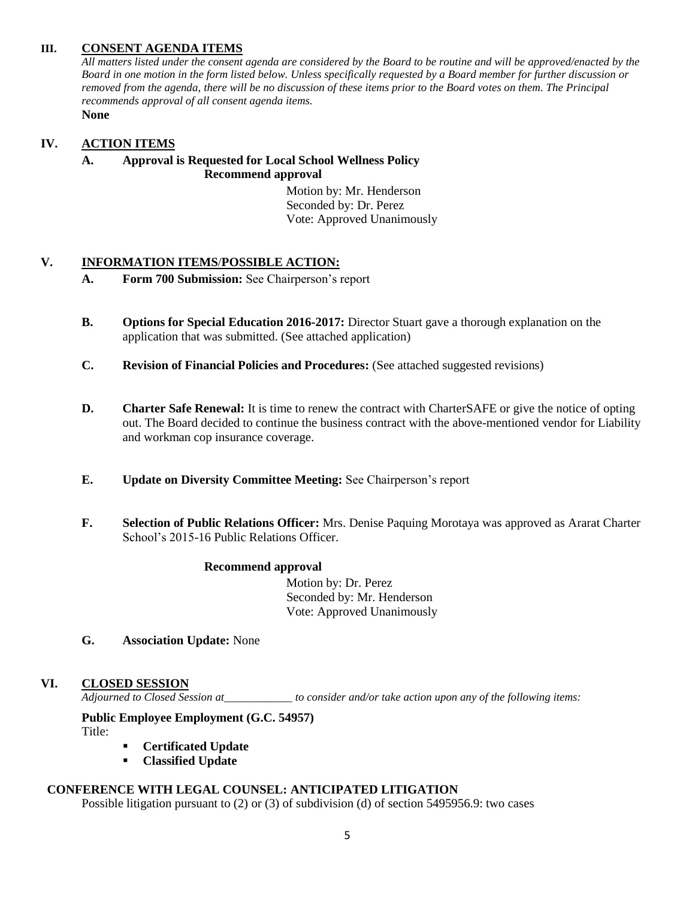# **III. CONSENT AGENDA ITEMS**

*All matters listed under the consent agenda are considered by the Board to be routine and will be approved/enacted by the Board in one motion in the form listed below. Unless specifically requested by a Board member for further discussion or removed from the agenda, there will be no discussion of these items prior to the Board votes on them. The Principal recommends approval of all consent agenda items.* **None**

# **IV. ACTION ITEMS**

# **A. Approval is Requested for Local School Wellness Policy Recommend approval**

 Motion by: Mr. Henderson Seconded by: Dr. Perez Vote: Approved Unanimously

# **V. INFORMATION ITEMS**/**POSSIBLE ACTION:**

- **A. Form 700 Submission:** See Chairperson's report
- **B. Options for Special Education 2016-2017:** Director Stuart gave a thorough explanation on the application that was submitted. (See attached application)
- **C. Revision of Financial Policies and Procedures:** (See attached suggested revisions)
- **D. Charter Safe Renewal:** It is time to renew the contract with CharterSAFE or give the notice of opting out. The Board decided to continue the business contract with the above-mentioned vendor for Liability and workman cop insurance coverage.
- **E. Update on Diversity Committee Meeting:** See Chairperson's report
- **F. Selection of Public Relations Officer:** Mrs. Denise Paquing Morotaya was approved as Ararat Charter School's 2015-16 Public Relations Officer.

#### **Recommend approval**

 Motion by: Dr. Perez Seconded by: Mr. Henderson Vote: Approved Unanimously

**G. Association Update:** None

## **VI. CLOSED SESSION**

*Adjourned to Closed Session at\_\_\_\_\_\_\_\_\_\_\_\_ to consider and/or take action upon any of the following items:*

# **Public Employee Employment (G.C. 54957)**

Title:

- **Certificated Update**
- **Classified Update**

# **CONFERENCE WITH LEGAL COUNSEL: ANTICIPATED LITIGATION**

Possible litigation pursuant to (2) or (3) of subdivision (d) of section 5495956.9: two cases